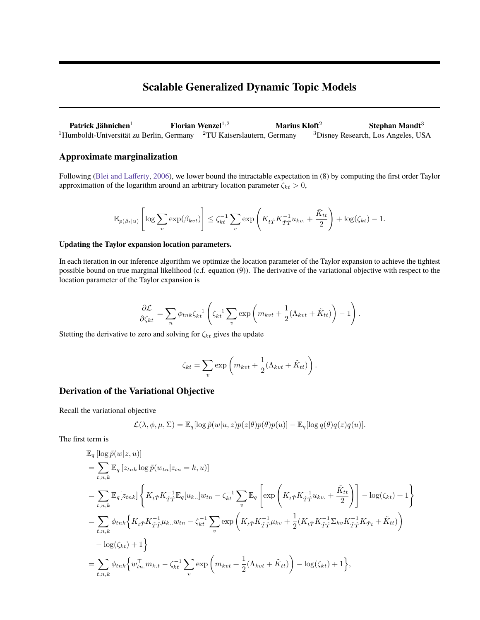# **Scalable Generalized Dynamic Topic Models**

**Patrick Jähnichen**<sup>1</sup> **Florian Wenzel**1,<sup>2</sup> **Marius Kloft**<sup>2</sup> **Stephan Mandt**<sup>3</sup> <sup>1</sup>Humboldt-Universität zu Berlin, Germany <sup>2</sup>TU Kaiserslautern, Germany <sup>3</sup>Disney Research, Los Angeles, USA

## **Approximate marginalization**

Following [\(Blei and Lafferty,](#page-2-0) [2006\)](#page-2-0), we lower bound the intractable expectation in (8) by computing the first order Taylor approximation of the logarithm around an arbitrary location parameter  $\zeta_{kt} > 0$ ,

$$
\mathbb{E}_{p(\beta_t|u)}\left[\log\sum_v \exp(\beta_{kvt})\right] \leq \zeta_{kt}^{-1}\sum_v \exp\left(K_{t\hat{T}}K_{\hat{T}\hat{T}}^{-1}u_{kv.} + \frac{\tilde{K}_{tt}}{2}\right) + \log(\zeta_{kt}) - 1.
$$

### **Updating the Taylor expansion location parameters.**

In each iteration in our inference algorithm we optimize the location parameter of the Taylor expansion to achieve the tightest possible bound on true marginal likelihood (c.f. equation (9)). The derivative of the variational objective with respect to the location parameter of the Taylor expansion is

$$
\frac{\partial \mathcal{L}}{\partial \zeta_{kt}} = \sum_{n} \phi_{tnk} \zeta_{kt}^{-1} \left( \zeta_{kt}^{-1} \sum_{v} \exp\left(m_{kvt} + \frac{1}{2} (\Lambda_{kvt} + \tilde{K}_{tt})\right) - 1\right).
$$

Stetting the derivative to zero and solving for  $\zeta_{kt}$  gives the update

$$
\zeta_{kt} = \sum_{v} \exp\left(m_{kvt} + \frac{1}{2}(\Lambda_{kvt} + \tilde{K}_{tt})\right).
$$

### **Derivation of the Variational Objective**

Recall the variational objective

$$
\mathcal{L}(\lambda, \phi, \mu, \Sigma) = \mathbb{E}_{q}[\log \tilde{p}(w|u, z)p(z|\theta)p(\theta)p(u)] - \mathbb{E}_{q}[\log q(\theta)q(z)q(u)].
$$

The first term is

$$
\mathbb{E}_{q} [\log \tilde{p}(w|z, u)]
$$
\n
$$
= \sum_{t, n, k} \mathbb{E}_{q} [z_{tnk} \log \tilde{p}(w_{tn}|z_{tn} = k, u)]
$$
\n
$$
= \sum_{t, n, k} \mathbb{E}_{q} [z_{tnk}] \left\{ K_{t\hat{T}} K_{\hat{T}\hat{T}}^{-1} \mathbb{E}_{q} [u_{k..}] w_{tn} - \zeta_{kt}^{-1} \sum_{v} \mathbb{E}_{q} \left[ \exp \left( K_{t\hat{T}} K_{\hat{T}\hat{T}}^{-1} u_{kv.} + \frac{\tilde{K}_{tt}}{2} \right) \right] - \log(\zeta_{kt}) + 1 \right\}
$$
\n
$$
= \sum_{t, n, k} \phi_{tnk} \left\{ K_{t\hat{T}} K_{\hat{T}\hat{T}}^{-1} \mu_{k..} w_{tn} - \zeta_{kt}^{-1} \sum_{v} \exp \left( K_{t\hat{T}} K_{\hat{T}\hat{T}}^{-1} \mu_{kv} + \frac{1}{2} (K_{t\hat{T}} K_{\hat{T}\hat{T}}^{-1} \Sigma_{kv} K_{\hat{T}\hat{T}}^{-1} K_{\hat{T}t} + \tilde{K}_{tt}) \right) - \log(\zeta_{kt}) + 1 \right\}
$$
\n
$$
= \sum_{t, n, k} \phi_{tnk} \left\{ w_{tn.}^{\top} m_{k.t} - \zeta_{kt}^{-1} \sum_{v} \exp \left( m_{kvt} + \frac{1}{2} (\Lambda_{kvt} + \tilde{K}_{tt}) \right) - \log(\zeta_{kt}) + 1 \right\},
$$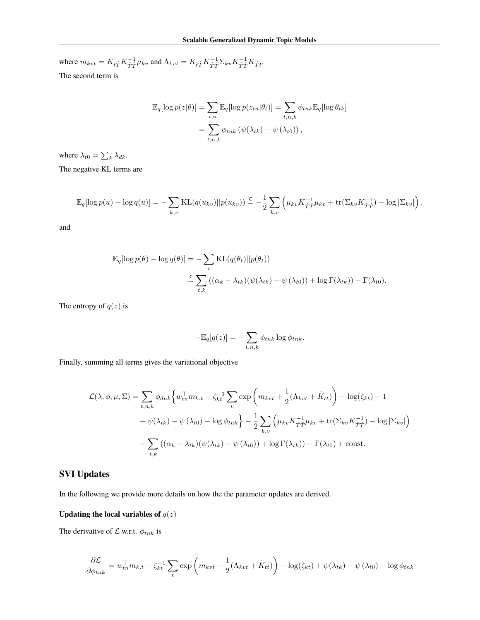where  $m_{kvt} = K_{t\hat{T}}K_{\hat{T}\hat{T}}^{-1}\mu_{kv}$  and  $\Lambda_{kvt} = K_{t\hat{T}}K_{\hat{T}\hat{T}}^{-1}\Sigma_{kv}K_{\hat{T}\hat{T}}^{-1}K_{\hat{T}t}$ . The second term is

$$
\mathbb{E}_{q}[\log p(z|\theta)] = \sum_{t,n} \mathbb{E}_{q}[\log p(z_{tn}|\theta_{t})] = \sum_{t,n,k} \phi_{tnk} \mathbb{E}_{q}[\log \theta_{tk}]
$$

$$
= \sum_{t,n,k} \phi_{tnk} (\psi(\lambda_{tk}) - \psi(\lambda_{t0})),
$$

where  $\lambda_{t0} = \sum_{k} \lambda_{dk}$ .

The negative KL terms are

$$
\mathbb{E}_q[\log p(u) - \log q(u)] = -\sum_{k,v} \text{KL}(q(u_{kv})||p(u_{kv})) \stackrel{\mathsf{C}}{=} -\frac{1}{2} \sum_{k,v} \left(\mu_{kv} K_{\hat{T}\hat{T}}^{-1} \mu_{kv} + \text{tr}(\Sigma_{kv} K_{\hat{T}\hat{T}}^{-1}) - \log |\Sigma_{kv}|\right).
$$

and

$$
\mathbb{E}_{q}[\log p(\theta) - \log q(\theta)] = -\sum_{t} \text{KL}(q(\theta_{t})||p(\theta_{t}))
$$
  

$$
\stackrel{\mathcal{L}}{=} \sum_{t,k} ((\alpha_{k} - \lambda_{tk})(\psi(\lambda_{tk}) - \psi(\lambda_{t0})) + \log \Gamma(\lambda_{tk})) - \Gamma(\lambda_{t0}).
$$

The entropy of  $q(z)$  is

$$
-\mathbb{E}_q[q(z)] = -\sum_{t,n,k} \phi_{tnk} \log \phi_{tnk}.
$$

Finally, summing all terms gives the variational objective

$$
\mathcal{L}(\lambda, \phi, \mu, \Sigma) = \sum_{t, n, k} \phi_{dnk} \left\{ w_{tn}^{\top} m_{k,t} - \zeta_{kt}^{-1} \sum_{v} \exp \left( m_{kvt} + \frac{1}{2} (\Lambda_{kvt} + \tilde{K}_{tt}) \right) - \log(\zeta_{kt}) + 1 + \psi(\lambda_{tk}) - \psi(\lambda_{t0}) - \log \phi_{tnk} \right\} - \frac{1}{2} \sum_{k, v} \left( \mu_{kv} K_{\hat{T}\hat{T}}^{-1} \mu_{kv} + \text{tr}(\Sigma_{kv} K_{\hat{T}\hat{T}}^{-1}) - \log |\Sigma_{kv}| \right) + \sum_{t, k} \left( (\alpha_k - \lambda_{tk}) (\psi(\lambda_{tk}) - \psi(\lambda_{t0})) + \log \Gamma(\lambda_{tk}) \right) - \Gamma(\lambda_{t0}) + \text{const.}
$$

## **SVI Updates**

In the following we provide more details on how the the parameter updates are derived.

## Updating the local variables of  $q(\boldsymbol{z})$

The derivative of  $\mathcal L$  w.r.t.  $\phi_{tnk}$  is

$$
\frac{\partial \mathcal{L}}{\partial \phi_{tnk}} = w_{tn}^{\top} m_{k,t} - \zeta_{kt}^{-1} \sum_{v} \exp\left(m_{kvt} + \frac{1}{2} (\Lambda_{kvt} + \tilde{K}_{tt})\right) - \log(\zeta_{kt}) + \psi(\lambda_{tk}) - \psi(\lambda_{t0}) - \log \phi_{tnk}
$$